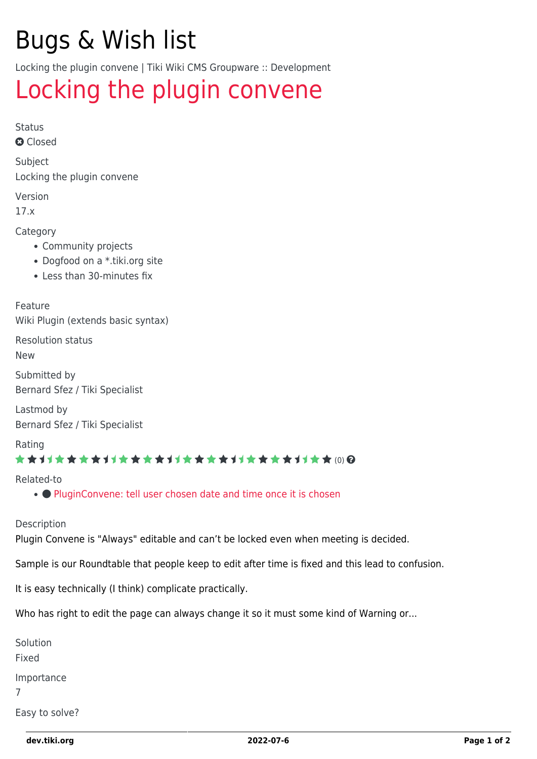# Bugs & Wish list

Locking the plugin convene | Tiki Wiki CMS Groupware :: Development

## [Locking the plugin convene](https://dev.tiki.org/item6299-Locking-the-plugin-convene)

Status

**Q** Closed

Subject Locking the plugin convene

Version

17.x

Category

- Community projects
- Dogfood on a \*.tiki.org site
- Less than 30-minutes fix

Feature

Wiki Plugin (extends basic syntax)

Resolution status

New

Submitted by Bernard Sfez / Tiki Specialist

Lastmod by Bernard Sfez / Tiki Specialist

Rating

#### \*\*\*\*\*\*\*\*\*\*\*\*\*\*\*\*\*\*\*\*\*\*\*\*\*\*\*\*\*\*

Related-to

• • [PluginConvene: tell user chosen date and time once it is chosen](https://dev.tiki.org/item7893-PluginConvene-tell-user-chosen-date-and-time-once-it-is-chosen)

Description

Plugin Convene is "Always" editable and can't be locked even when meeting is decided.

Sample is our Roundtable that people keep to edit after time is fixed and this lead to confusion.

It is easy technically (I think) complicate practically.

Who has right to edit the page can always change it so it must some kind of Warning or...

Solution Fixed Importance 7

Easy to solve?